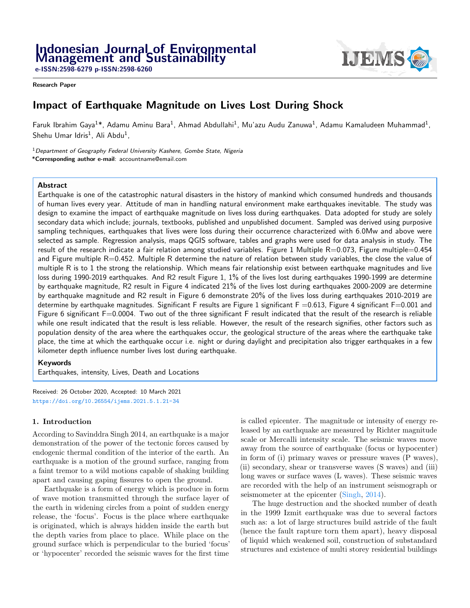e-ISSN:2598-6279 p-ISSN:2598-6260

#### Research Paper

# Impact of Earthquake Magnitude on Lives Lost During Shock

Faruk Ibrahim Gaya<sup>1\*</sup>, Adamu Aminu Bara<sup>1</sup>, Ahmad Abdullahi<sup>1</sup>, Mu'azu Audu Zanuwa<sup>1</sup>, Adamu Kamaludeen Muhammad<sup>1</sup>,  $Sh$ ehu Umar Idris $^1$ , Ali Abdu $^1$ ,

<sup>1</sup> Department of Geography Federal University Kashere, Gombe State, Nigeria \*Corresponding author e-mail: accountname@email.com

#### Abstract

Earthquake is one of the catastrophic natural disasters in the history of mankind which consumed hundreds and thousands of human lives every year. Attitude of man in handling natural environment make earthquakes inevitable. The study was design to examine the impact of earthquake magnitude on lives loss during earthquakes. Data adopted for study are solely secondary data which include; journals, textbooks, published and unpublished document. Sampled was derived using purposive sampling techniques, earthquakes that lives were loss during their occurrence characterized with 6.0Mw and above were selected as sample. Regression analysis, maps QGIS software, tables and graphs were used for data analysis in study. The result of the research indicate a fair relation among studied variables. Figure 1 Multiple R=0.073, Figure multiple=0.454 and Figure multiple R=0.452. Multiple R determine the nature of relation between study variables, the close the value of multiple R is to 1 the strong the relationship. Which means fair relationship exist between earthquake magnitudes and live loss during 1990-2019 earthquakes. And R2 result Figure 1, 1% of the lives lost during earthquakes 1990-1999 are determine by earthquake magnitude, R2 result in Figure 4 indicated 21% of the lives lost during earthquakes 2000-2009 are determine by earthquake magnitude and R2 result in Figure 6 demonstrate 20% of the lives loss during earthquakes 2010-2019 are determine by earthquake magnitudes. Significant F results are Figure 1 significant  $F = 0.613$ , Figure 4 significant  $F = 0.001$  and Figure 6 significant F=0.0004. Two out of the three significant F result indicated that the result of the research is reliable while one result indicated that the result is less reliable. However, the result of the research signifies, other factors such as population density of the area where the earthquakes occur, the geological structure of the areas where the earthquake take place, the time at which the earthquake occur i.e. night or during daylight and precipitation also trigger earthquakes in a few kilometer depth influence number lives lost during earthquake.

#### Keywords

Earthquakes, intensity, Lives, Death and Locations

Received: 26 October 2020, Accepted: 10 March 2021 <https://doi.org/10.26554/ijems.2021.5.1.21-34>

#### 1. Introduction

According to Savinddra Singh 2014, an earthquake is a major demonstration of the power of the tectonic forces caused by endogenic thermal condition of the interior of the earth. An earthquake is a motion of the ground surface, ranging from a faint tremor to a wild motions capable of shaking building apart and causing gaping fissures to open the ground.

Earthquake is a form of energy which is produce in form of wave motion transmitted through the surface layer of the earth in widening circles from a point of sudden energy release, the 'focus'. Focus is the place where earthquake is originated, which is always hidden inside the earth but the depth varies from place to place. While place on the ground surface which is perpendicular to the buried 'focus' or 'hypocenter' recorded the seismic waves for the first time

is called epicenter. The magnitude or intensity of energy released by an earthquake are measured by Richter magnitude scale or Mercalli intensity scale. The seismic waves move away from the source of earthquake (focus or hypocenter) in form of (i) primary waves or pressure waves (P waves), (ii) secondary, shear or transverse waves (S waves) and (iii) long waves or surface waves (L waves). These seismic waves are recorded with the help of an instrument seismograph or seismometer at the epicenter [\(Singh,](#page-13-0) [2014\)](#page-13-0).

The huge destruction and the shocked number of death in the 1999 Izmit earthquake was due to several factors such as: a lot of large structures build astride of the fault (hence the fault rapture torn them apart), heavy disposal of liquid which weakened soil, construction of substandard structures and existence of multi storey residential buildings

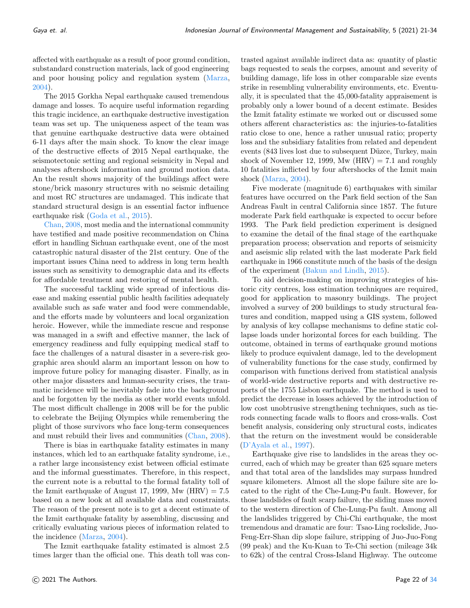affected with earthquake as a result of poor ground condition, substandard construction materials, lack of good engineering and poor housing policy and regulation system [\(Marza,](#page-13-1) [2004\)](#page-13-1).

The 2015 Gorkha Nepal earthquake caused tremendous damage and losses. To acquire useful information regarding this tragic incidence, an earthquake destructive investigation team was set up. The uniqueness aspect of the team was that genuine earthquake destructive data were obtained 6-11 days after the main shock. To know the clear image of the destructive effects of 2015 Nepal earthquake, the seismotectonic setting and regional seismicity in Nepal and analyses aftershock information and ground motion data. An the result shows majority of the buildings affect were stone/brick masonry structures with no seismic detailing and most RC structures are undamaged. This indicate that standard structural design is an essential factor influence earthquake risk [\(Goda et al.,](#page-13-2) [2015\)](#page-13-2).

[Chan,](#page-13-3) [2008,](#page-13-3) most media and the international community have testified and made positive recommendation on China effort in handling Sichuan earthquake event, one of the most catastrophic natural disaster of the 21st century. One of the important issues China need to address in long term health issues such as sensitivity to demographic data and its effects for affordable treatment and restoring of mental health.

The successful tackling wide spread of infectious disease and making essential public health facilities adequately available such as safe water and food were commendable, and the efforts made by volunteers and local organization heroic. However, while the immediate rescue and response was managed in a swift and effective manner, the lack of emergency readiness and fully equipping medical staff to face the challenges of a natural disaster in a severe-risk geographic area should alarm an important lesson on how to improve future policy for managing disaster. Finally, as in other major disasters and human-security crises, the traumatic incidence will be inevitably fade into the background and be forgotten by the media as other world events unfold. The most difficult challenge in 2008 will be for the public to celebrate the Beijing Olympics while remembering the plight of those survivors who face long-term consequences and must rebuild their lives and communities [\(Chan,](#page-13-3) [2008\)](#page-13-3).

There is bias in earthquake fatality estimates in many instances, which led to an earthquake fatality syndrome, i.e., a rather large inconsistency exist between official estimate and the informal guesstimates. Therefore, in this respect, the current note is a rebuttal to the formal fatality toll of the Izmit earthquake of August 17, 1999, Mw  $(HRV) = 7.5$ based on a new look at all available data and constraints. The reason of the present note is to get a decent estimate of the Izmit earthquake fatality by assembling, discussing and critically evaluating various pieces of information related to the incidence [\(Marza,](#page-13-1) [2004\)](#page-13-1).

The Izmit earthquake fatality estimated is almost 2.5 times larger than the official one. This death toll was con-

trasted against available indirect data as: quantity of plastic bags requested to seals the corpses, amount and severity of building damage, life loss in other comparable size events strike in resembling vulnerability environments, etc. Eventually, it is speculated that the 45,000-fatality appraisement is probably only a lower bound of a decent estimate. Besides the Izmit fatality estimate we worked out or discussed some others afferent characteristics as: the injuries-to-fatalities ratio close to one, hence a rather unusual ratio; property loss and the subsidiary fatalities from related and dependent events (843 lives lost due to subsequent Düzce, Turkey, main shock of November 12, 1999, Mw  $(HRV) = 7.1$  and roughly 10 fatalities inflicted by four aftershocks of the Izmit main shock [\(Marza,](#page-13-1) [2004\)](#page-13-1).

Five moderate (magnitude 6) earthquakes with similar features have occurred on the Park field section of the San Andreas Fault in central California since 1857. The future moderate Park field earthquake is expected to occur before 1993. The Park field prediction experiment is designed to examine the detail of the final stage of the earthquake preparation process; observation and reports of seismicity and aseismic slip related with the last moderate Park field earthquake in 1966 constitute much of the basis of the design of the experiment [\(Bakun and Lindh,](#page-13-4) [2015\)](#page-13-4).

To aid decision-making on improving strategies of historic city centres, loss estimation techniques are required, good for application to masonry buildings. The project involved a survey of 200 buildings to study structural features and condition, mapped using a GIS system, followed by analysis of key collapse mechanisms to define static collapse loads under horizontal forces for each building. The outcome, obtained in terms of earthquake ground motions likely to produce equivalent damage, led to the development of vulnerability functions for the case study, confirmed by comparison with functions derived from statistical analysis of world-wide destructive reports and with destructive reports of the 1755 Lisbon earthquake. The method is used to predict the decrease in losses achieved by the introduction of low cost unobtrusive strengthening techniques, such as tierods connecting facade walls to floors and cross-walls. Cost benefit analysis, considering only structural costs, indicates that the return on the investment would be considerable [\(D'Ayala et al.,](#page-13-5) [1997\)](#page-13-5).

Earthquake give rise to landslides in the areas they occurred, each of which may be greater than 625 square meters and that total area of the landslides may surpass hundred square kilometers. Almost all the slope failure site are located to the right of the Che-Lung-Pu fault. However, for those landslides of fault scarp failure, the sliding mass moved to the western direction of Che-Lung-Pu fault. Among all the landslides triggered by Chi-Chi earthquake, the most tremendous and dramatic are four: Tsao-Ling rockslide, Juo-Feng-Err-Shan dip slope failure, stripping of Juo-Juo-Fong (99 peak) and the Ku-Kuan to Te-Chi section (mileage 34k to 62k) of the central Cross-Island Highway. The outcome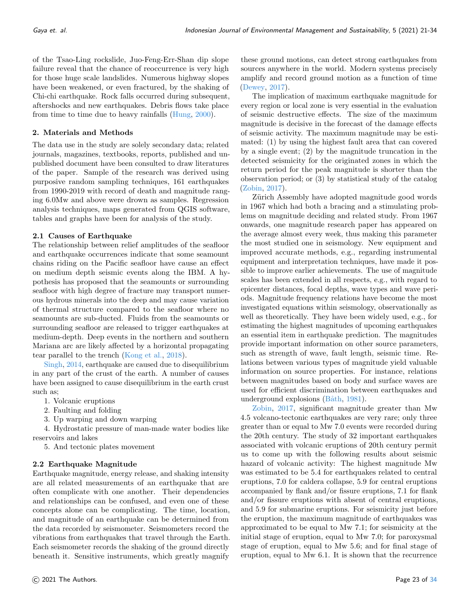of the Tsao-Ling rockslide, Juo-Feng-Err-Shan dip slope failure reveal that the chance of reoccurrence is very high for those huge scale landslides. Numerous highway slopes have been weakened, or even fractured, by the shaking of Chi-chi earthquake. Rock falls occurred during subsequent, aftershocks and new earthquakes. Debris flows take place from time to time due to heavy rainfalls [\(Hung,](#page-13-7) [2000\)](#page-13-7).

#### 2. Materials and Methods

The data use in the study are solely secondary data; related journals, magazines, textbooks, reports, published and unpublished document have been consulted to draw literatures of the paper. Sample of the research was derived using purposive random sampling techniques, 161 earthquakes from 1990-2019 with record of death and magnitude ranging 6.0Mw and above were drown as samples. Regression analysis techniques, maps generated from QGIS software, tables and graphs have been for analysis of the study.

#### 2.1 Causes of Earthquake

The relationship between relief amplitudes of the seafloor and earthquake occurrences indicate that some seamount chains riding on the Pacific seafloor have cause an effect on medium depth seismic events along the IBM. A hypothesis has proposed that the seamounts or surrounding seafloor with high degree of fracture may transport numerous hydrous minerals into the deep and may cause variation of thermal structure compared to the seafloor where no seamounts are sub-ducted. Fluids from the seamounts or surrounding seafloor are released to trigger earthquakes at medium-depth. Deep events in the northern and southern Mariana arc are likely affected by a horizontal propagating tear parallel to the trench [\(Kong et al.,](#page-13-8) [2018\)](#page-13-8).

[Singh,](#page-13-0) [2014,](#page-13-0) earthquake are caused due to disequilibrium in any part of the crust of the earth. A number of causes have been assigned to cause disequilibrium in the earth crust such as;

- 1. Volcanic eruptions
- 2. Faulting and folding
- 3. Up warping and down warping

4. Hydrostatic pressure of man-made water bodies like reservoirs and lakes

5. And tectonic plates movement

## 2.2 Earthquake Magnitude

Earthquake magnitude, energy release, and shaking intensity are all related measurements of an earthquake that are often complicate with one another. Their dependencies and relationships can be confused, and even one of these concepts alone can be complicating. The time, location, and magnitude of an earthquake can be determined from the data recorded by seismometer. Seismometers record the vibrations from earthquakes that travel through the Earth. Each seismometer records the shaking of the ground directly beneath it. Sensitive instruments, which greatly magnify

these ground motions, can detect strong earthquakes from sources anywhere in the world. Modern systems precisely amplify and record ground motion as a function of time [\(Dewey,](#page-13-9) [2017\)](#page-13-9).

The implication of maximum earthquake magnitude for every region or local zone is very essential in the evaluation of seismic destructive effects. The size of the maximum magnitude is decisive in the forecast of the damage effects of seismic activity. The maximum magnitude may be estimated: (1) by using the highest fault area that can covered by a single event; (2) by the magnitude truncation in the detected seismicity for the originated zones in which the return period for the peak magnitude is shorter than the observation period; or (3) by statistical study of the catalog [\(Zobin,](#page-13-10) [2017\)](#page-13-10).

Zürich Assembly have adopted magnitude good words in 1967 which had both a bracing and a stimulating problems on magnitude deciding and related study. From 1967 onwards, one magnitude research paper has appeared on the average almost every week, thus making this parameter the most studied one in seismology. New equipment and improved accurate methods, e.g., regarding instrumental equipment and interpretation techniques, have made it possible to improve earlier achievements. The use of magnitude scales has been extended in all respects, e.g., with regard to epicenter distances, focal depths, wave types and wave periods. Magnitude frequency relations have become the most investigated equations within seismology, observationally as well as theoretically. They have been widely used, e.g., for estimating the highest magnitudes of upcoming earthquakes an essential item in earthquake prediction. The magnitudes provide important information on other source parameters, such as strength of wave, fault length, seismic time. Relations between various types of magnitude yield valuable information on source properties. For instance, relations between magnitudes based on body and surface waves are used for efficient discrimination between earthquakes and underground explosions  $(B\text{a}th, 1981)$  $(B\text{a}th, 1981)$ .

[Zobin,](#page-13-10) [2017,](#page-13-10) significant magnitude greater than Mw 4.5 volcano-tectonic earthquakes are very rare; only three greater than or equal to Mw 7.0 events were recorded during the 20th century. The study of 32 important earthquakes associated with volcanic eruptions of 20th century permit us to come up with the following results about seismic hazard of volcanic activity: The highest magnitude Mw was estimated to be 5.4 for earthquakes related to central eruptions, 7.0 for caldera collapse, 5.9 for central eruptions accompanied by flank and/or fissure eruptions, 7.1 for flank and/or fissure eruptions with absent of central eruptions, and 5.9 for submarine eruptions. For seismicity just before the eruption, the maximum magnitude of earthquakes was approximated to be equal to Mw 7.1; for seismicity at the initial stage of eruption, equal to Mw 7.0; for paroxysmal stage of eruption, equal to Mw 5.6; and for final stage of eruption, equal to Mw 6.1. It is shown that the recurrence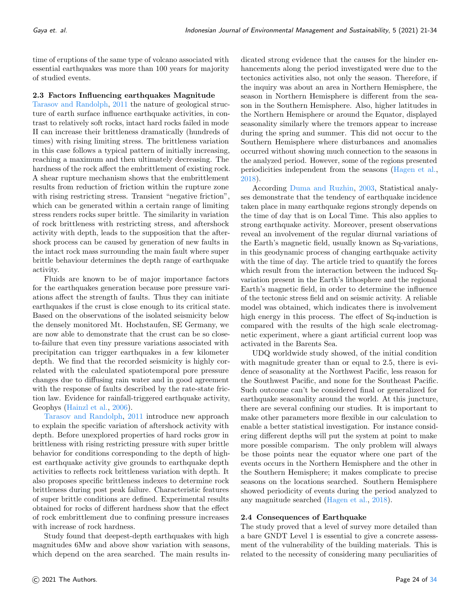time of eruptions of the same type of volcano associated with essential earthquakes was more than 100 years for majority of studied events.

#### 2.3 Factors Influencing earthquakes Magnitude

[Tarasov and Randolph,](#page-13-12) [2011](#page-13-12) the nature of geological structure of earth surface influence earthquake activities, in contrast to relatively soft rocks, intact hard rocks failed in mode II can increase their brittleness dramatically (hundreds of times) with rising limiting stress. The brittleness variation in this case follows a typical pattern of initially increasing, reaching a maximum and then ultimately decreasing. The hardness of the rock affect the embrittlement of existing rock. A shear rupture mechanism shows that the embrittlement results from reduction of friction within the rupture zone with rising restricting stress. Transient "negative friction", which can be generated within a certain range of limiting stress renders rocks super brittle. The similarity in variation of rock brittleness with restricting stress, and aftershock activity with depth, leads to the supposition that the aftershock process can be caused by generation of new faults in the intact rock mass surrounding the main fault where super brittle behaviour determines the depth range of earthquake activity.

Fluids are known to be of major importance factors for the earthquakes generation because pore pressure variations affect the strength of faults. Thus they can initiate earthquakes if the crust is close enough to its critical state. Based on the observations of the isolated seismicity below the densely monitored Mt. Hochstaufen, SE Germany, we are now able to demonstrate that the crust can be so closeto-failure that even tiny pressure variations associated with precipitation can trigger earthquakes in a few kilometer depth. We find that the recorded seismicity is highly correlated with the calculated spatiotemporal pore pressure changes due to diffusing rain water and in good agreement with the response of faults described by the rate-state friction law. Evidence for rainfall-triggered earthquake activity, Geophys [\(Hainzl et al.,](#page-13-13) [2006\)](#page-13-13).

[Tarasov and Randolph,](#page-13-12) [2011](#page-13-12) introduce new approach to explain the specific variation of aftershock activity with depth. Before unexplored properties of hard rocks grow in brittleness with rising restricting pressure with super brittle behavior for conditions corresponding to the depth of highest earthquake activity give grounds to earthquake depth activities to reflects rock brittleness variation with depth. It also proposes specific brittleness indexes to determine rock brittleness during post peak failure. Characteristic features of super brittle conditions are defined. Experimental results obtained for rocks of different hardness show that the effect of rock embrittlement due to confining pressure increases with increase of rock hardness.

Study found that deepest-depth earthquakes with high magnitudes 6Mw and above show variation with seasons, which depend on the area searched. The main results in-

dicated strong evidence that the causes for the hinder enhancements along the period investigated were due to the tectonics activities also, not only the season. Therefore, if the inquiry was about an area in Northern Hemisphere, the season in Northern Hemisphere is different from the season in the Southern Hemisphere. Also, higher latitudes in the Northern Hemisphere or around the Equator, displayed seasonality similarly where the tremors appear to increase during the spring and summer. This did not occur to the Southern Hemisphere where disturbances and anomalies occurred without showing much connection to the seasons in the analyzed period. However, some of the regions presented periodicities independent from the seasons [\(Hagen et al.,](#page-13-14) [2018\)](#page-13-14).

According [Duma and Ruzhin,](#page-13-15) [2003,](#page-13-15) Statistical analyses demonstrate that the tendency of earthquake incidence taken place in many earthquake regions strongly depends on the time of day that is on Local Time. This also applies to strong earthquake activity. Moreover, present observations reveal an involvement of the regular diurnal variations of the Earth's magnetic field, usually known as Sq-variations, in this geodynamic process of changing earthquake activity with the time of day. The article tried to quantify the forces which result from the interaction between the induced Sqvariation present in the Earth's lithosphere and the regional Earth's magnetic field, in order to determine the influence of the tectonic stress field and on seismic activity. A reliable model was obtained, which indicates there is involvement high energy in this process. The effect of Sq-induction is compared with the results of the high scale electromagnetic experiment, where a giant artificial current loop was activated in the Barents Sea.

UDQ worldwide study showed, of the initial condition with magnitude greater than or equal to 2.5, there is evidence of seasonality at the Northwest Pacific, less reason for the Southwest Pacific, and none for the Southeast Pacific. Such outcome can't be considered final or generalized for earthquake seasonality around the world. At this juncture, there are several confining our studies. It is important to make other parameters more flexible in our calculation to enable a better statistical investigation. For instance considering different depths will put the system at point to make more possible comparism. The only problem will always be those points near the equator where one part of the events occurs in the Northern Hemisphere and the other in the Southern Hemisphere; it makes complicate to precise seasons on the locations searched. Southern Hemisphere showed periodicity of events during the period analyzed to any magnitude searched [\(Hagen et al.,](#page-13-14) [2018\)](#page-13-14).

## 2.4 Consequences of Earthquake

The study proved that a level of survey more detailed than a bare GNDT Level 1 is essential to give a concrete assessment of the vulnerability of the building materials. This is related to the necessity of considering many peculiarities of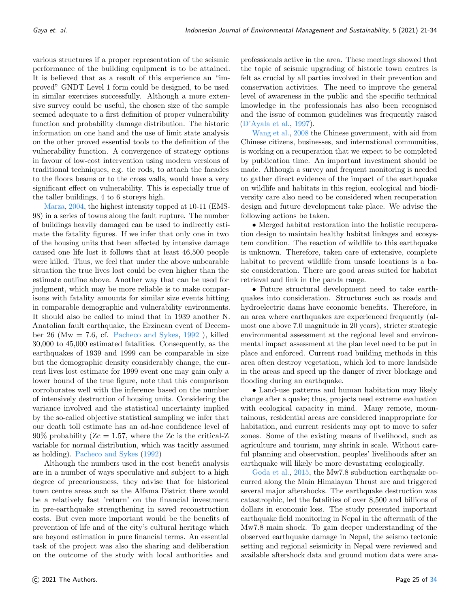various structures if a proper representation of the seismic performance of the building equipment is to be attained. It is believed that as a result of this experience an "improved" GNDT Level 1 form could be designed, to be used in similar exercises successfully. Although a more extensive survey could be useful, the chosen size of the sample seemed adequate to a first definition of proper vulnerability function and probability damage distribution. The historic information on one hand and the use of limit state analysis on the other proved essential tools to the definition of the vulnerability function. A convergence of strategy options in favour of low-cost intervention using modern versions of traditional techniques, e.g. tie rods, to attach the facades to the floors beams or to the cross walls, would have a very significant effect on vulnerability. This is especially true of the taller buildings, 4 to 6 storeys high.

[Marza,](#page-13-1) [2004,](#page-13-1) the highest intensity topped at 10-11 (EMS-98) in a series of towns along the fault rupture. The number of buildings heavily damaged can be used to indirectly estimate the fatality figures. If we infer that only one in two of the housing units that been affected by intensive damage caused one life lost it follows that at least 46,500 people were killed. Thus, we feel that under the above unbearable situation the true lives lost could be even higher than the estimate outline above. Another way that can be used for judgment, which may be more reliable is to make comparisons with fatality amounts for similar size events hitting in comparable demographic and vulnerability environments. It should also be called to mind that in 1939 another N. Anatolian fault earthquake, the Erzincan event of Decem-ber 26 (Mw = 7.6, cf. [Pacheco and Sykes,](#page-13-16)  $1992$ ), killed 30,000 to 45,000 estimated fatalities. Consequently, as the earthquakes of 1939 and 1999 can be comparable in size but the demographic density considerably change, the current lives lost estimate for 1999 event one may gain only a lower bound of the true figure, note that this comparison corroborates well with the inference based on the number of intensively destruction of housing units. Considering the variance involved and the statistical uncertainty implied by the so-called objective statistical sampling we infer that our death toll estimate has an ad-hoc confidence level of 90% probability ( $Z_c = 1.57$ , where the Zc is the critical-Z variable for normal distribution, which was tacitly assumed as holding). [Pacheco and Sykes](#page-13-16) [\(1992\)](#page-13-16)

Although the numbers used in the cost benefit analysis are in a number of ways speculative and subject to a high degree of precariousness, they advise that for historical town centre areas such as the Alfama District there would be a relatively fast 'return' on the financial investment in pre-earthquake strengthening in saved reconstruction costs. But even more important would be the benefits of prevention of life and of the city's cultural heritage which are beyond estimation in pure financial terms. An essential task of the project was also the sharing and deliberation on the outcome of the study with local authorities and

professionals active in the area. These meetings showed that the topic of seismic upgrading of historic town centres is felt as crucial by all parties involved in their prevention and conservation activities. The need to improve the general level of awareness in the public and the specific technical knowledge in the professionals has also been recognised and the issue of common guidelines was frequently raised [\(D'Ayala et al.,](#page-13-5) [1997\)](#page-13-5).

[Wang et al.,](#page-13-17) [2008](#page-13-17) the Chinese government, with aid from Chinese citizens, businesses, and international communities, is working on a recuperation that we expect to be completed by publication time. An important investment should be made. Although a survey and frequent monitoring is needed to gather direct evidence of the impact of the earthquake on wildlife and habitats in this region, ecological and biodiversity care also need to be considered when recuperation design and future development take place. We advise the following actions be taken.

• Merged habitat restoration into the holistic recuperation design to maintain healthy habitat linkages and ecosystem condition. The reaction of wildlife to this earthquake is unknown. Therefore, taken care of extensive, complete habitat to prevent wildlife from unsafe locations is a basic consideration. There are good areas suited for habitat retrieval and link in the panda range.

• Future structural development need to take earthquakes into consideration. Structures such as roads and hydroelectric dams have economic benefits. Therefore, in an area where earthquakes are experienced frequently (almost one above 7.0 magnitude in 20 years), stricter strategic environmental assessment at the regional level and environmental impact assessment at the plan level need to be put in place and enforced. Current road building methods in this area often destroy vegetation, which led to more landslide in the areas and speed up the danger of river blockage and flooding during an earthquake.

• Land-use patterns and human habitation may likely change after a quake; thus, projects need extreme evaluation with ecological capacity in mind. Many remote, mountainous, residential areas are considered inappropriate for habitation, and current residents may opt to move to safer zones. Some of the existing means of livelihood, such as agriculture and tourism, may shrink in scale. Without careful planning and observation, peoples' livelihoods after an earthquake will likely be more devastating ecologically.

[Goda et al.,](#page-13-2) [2015,](#page-13-2) the Mw7.8 subduction earthquake occurred along the Main Himalayan Thrust arc and triggered several major aftershocks. The earthquake destruction was catastrophic, led the fatalities of over 8,500 and billions of dollars in economic loss. The study presented important earthquake field monitoring in Nepal in the aftermath of the Mw7.8 main shock. To gain deeper understanding of the observed earthquake damage in Nepal, the seismo tectonic setting and regional seismicity in Nepal were reviewed and available aftershock data and ground motion data were ana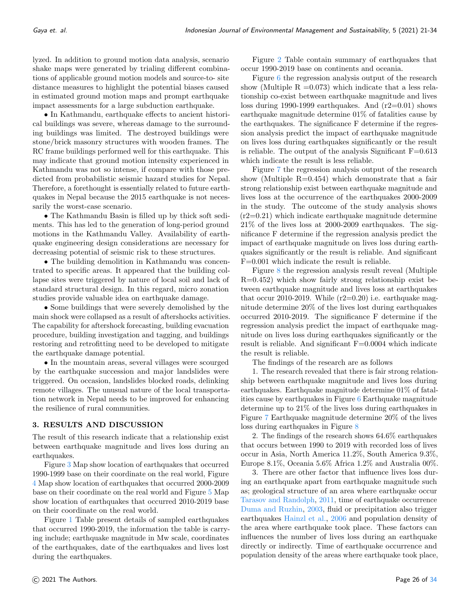lyzed. In addition to ground motion data analysis, scenario shake maps were generated by trialing different combinations of applicable ground motion models and source-to- site distance measures to highlight the potential biases caused in estimated ground motion maps and prompt earthquake impact assessments for a large subduction earthquake.

• In Kathmandu, earthquake effects to ancient historical buildings was severe, whereas damage to the surrounding buildings was limited. The destroyed buildings were stone/brick masonry structures with wooden frames. The RC frame buildings performed well for this earthquake. This may indicate that ground motion intensity experienced in Kathmandu was not so intense, if compare with those predicted from probabilistic seismic hazard studies for Nepal. Therefore, a forethought is essentially related to future earthquakes in Nepal because the 2015 earthquake is not necessarily the worst-case scenario.

• The Kathmandu Basin is filled up by thick soft sediments. This has led to the generation of long-period ground motions in the Kathmandu Valley. Availability of earthquake engineering design considerations are necessary for decreasing potential of seismic risk to these structures.

• The building demolition in Kathmandu was concentrated to specific areas. It appeared that the building collapse sites were triggered by nature of local soil and lack of standard structural design. In this regard, micro zonation studies provide valuable idea on earthquake damage.

• Some buildings that were severely demolished by the main shock were collapsed as a result of aftershocks activities. The capability for aftershock forecasting, building evacuation procedure, building investigation and tagging, and buildings restoring and retrofitting need to be developed to mitigate the earthquake damage potential.

• In the mountain areas, several villages were scourged by the earthquake succession and major landslides were triggered. On occasion, landslides blocked roads, delinking remote villages. The unusual nature of the local transportation network in Nepal needs to be improved for enhancing the resilience of rural communities.

## 3. RESULTS AND DISCUSSION

The result of this research indicate that a relationship exist between earthquake magnitude and lives loss during an earthquakes.

Figure [3](#page-10-0) Map show location of earthquakes that occurred 1990-1999 base on their coordinate on the real world, Figure [4](#page-10-1) Map show location of earthquakes that occurred 2000-2009 base on their coordinate on the real world and Figure [5](#page-12-0) Map show location of earthquakes that occurred 2010-2019 base on their coordinate on the real world.

Figure [1](#page-10-2) Table present details of sampled earthquakes that occurred 1990-2019, the information the table is carrying include; earthquake magnitude in Mw scale, coordinates of the earthquakes, date of the earthquakes and lives lost during the earthquakes.

Figure [2](#page-10-3) Table contain summary of earthquakes that occur 1990-2019 base on continents and oceania.

Figure [6](#page-12-1) the regression analysis output of the research show (Multiple  $R = 0.073$ ) which indicate that a less relationship co-exist between earthquake magnitude and lives loss during 1990-1999 earthquakes. And (r2=0.01) shows earthquake magnitude determine 01% of fatalities cause by the earthquakes. The significance F determine if the regression analysis predict the impact of earthquake magnitude on lives loss during earthquakes significantly or the result is reliable. The output of the analysis Significant  $F=0.613$ which indicate the result is less reliable.

Figure [7](#page-12-2) the regression analysis output of the research show (Multiple  $R=0.454$ ) which demonstrate that a fair strong relationship exist between earthquake magnitude and lives loss at the occurrence of the earthquakes 2000-2009 in the study. The outcome of the study analysis shows  $(r2=0.21)$  which indicate earthquake magnitude determine 21% of the lives loss at 2000-2009 earthquakes. The significance F determine if the regression analysis predict the impact of earthquake magnitude on lives loss during earthquakes significantly or the result is reliable. And significant F=0.001 which indicate the result is reliable.

Figure [8](#page-12-3) the regression analysis result reveal (Multiple R=0.452) which show fairly strong relationship exist between earthquake magnitude and lives loss at earthquakes that occur 2010-2019. While  $(r2=0.20)$  i.e. earthquake magnitude determine 20% of the lives lost during earthquakes occurred 2010-2019. The significance F determine if the regression analysis predict the impact of earthquake magnitude on lives loss during earthquakes significantly or the result is reliable. And significant F=0.0004 which indicate the result is reliable.

The findings of the research are as follows

1. The research revealed that there is fair strong relationship between earthquake magnitude and lives loss during earthquakes. Earthquake magnitude determine 01% of fatalities cause by earthquakes in Figure [6](#page-12-1) Earthquake magnitude determine up to 21% of the lives loss during earthquakes in Figure [7](#page-12-2) Earthquake magnitude determine 20% of the lives loss during earthquakes in Figure [8](#page-12-3)

2. The findings of the research shows 64.6% earthquakes that occurs between 1990 to 2019 with recorded loss of lives occur in Asia, North America 11.2%, South America 9.3%, Europe 8.1%, Oceania 5.6% Africa 1.2% and Australia 00%.

3. There are other factor that influence lives loss during an earthquake apart from earthquake magnitude such as; geological structure of an area where earthquake occur [Tarasov and Randolph,](#page-13-12) [2011,](#page-13-12) time of earthquake occurrence [Duma and Ruzhin,](#page-13-15) [2003,](#page-13-15) fluid or precipitation also trigger earthquakes [Hainzl et al.,](#page-13-13) [2006](#page-13-13) and population density of the area where earthquake took place. These factors can influences the number of lives loss during an earthquake directly or indirectly. Time of earthquake occurrence and population density of the areas where earthquake took place,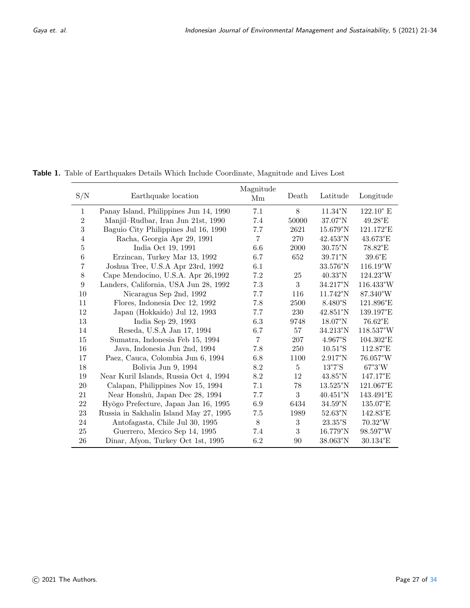Table 1. Table of Earthquakes Details Which Include Coordinate, Magnitude and Lives Lost

| S/N            | Earthquake location                    | Magnitude<br>Mm | Death       | Latitude           | Longitude          |
|----------------|----------------------------------------|-----------------|-------------|--------------------|--------------------|
| $\mathbf{1}$   | Panay Island, Philippines Jun 14, 1990 | 7.1             | 8           | $11.34^{\circ}$ N  | $122.10^{\circ}$ E |
| $\overline{2}$ | Manjil-Rudbar, Iran Jun 21st, 1990     | 7.4             | 50000       | $37.07^{\circ}$ N  | $49.28$ °E         |
| $\sqrt{3}$     | Baguio City Philippines Jul 16, 1990   | 7.7             | 2621        | $15.679^{\circ}N$  | 121.172°E          |
| $\overline{4}$ | Racha, Georgia Apr 29, 1991            | $\overline{7}$  | 270         | $42.453^{\circ}N$  | 43.673°E           |
| $\bf 5$        | India Oct 19, 1991                     | 6.6             | 2000        | $30.75^{\circ}$ N  | 78.82°E            |
| $\,6$          | Erzincan, Turkey Mar 13, 1992          | 6.7             | 652         | $39.71^{\circ}$ N  | $39.6^{\circ}E$    |
| 7              | Joshua Tree, U.S.A Apr 23rd, 1992      | 6.1             |             | 33.576°N           | $116.19^{\circ}W$  |
| 8              | Cape Mendocino, U.S.A. Apr 26,1992     | 7.2             | 25          | $40.33$ °N         | 124.23°W           |
| 9              | Landers, California, USA Jun 28, 1992  | 7.3             | 3           | $34.217^{\circ}N$  | 116.433°W          |
| 10             | Nicaragua Sep 2nd, 1992                | 7.7             | 116         | $11.742^{\circ}$ N | 87.340°W           |
| 11             | Flores, Indonesia Dec 12, 1992         | 7.8             | 2500        | $8.480^{\circ}$ S  | 121.896°E          |
| 12             | Japan (Hokkaido) Jul 12, 1993          | 7.7             | 230         | $42.851^{\circ}N$  | 139.197°E          |
| 13             | India Sep 29, 1993                     | 6.3             | 9748        | $18.07^{\circ}$ N  | 76.62°E            |
| 14             | Reseda, U.S.A Jan 17, 1994             | 6.7             | 57          | $34.213$ °N        | $118.537^{\circ}W$ |
| 15             | Sumatra, Indonesia Feb 15, 1994        | $\overline{7}$  | 207         | 4.967°S            | 104.302°E          |
| 16             | Java, Indonesia Jun 2nd, 1994          | 7.8             | 250         | $10.51$ °S         | $112.87^{\circ}E$  |
| 17             | Paez, Cauca, Colombia Jun 6, 1994      | 6.8             | 1100        | $2.917^{\circ}N$   | 76.057°W           |
| 18             | Bolivia Jun 9, 1994                    | 8.2             | $5^{\circ}$ | 13°7'S             | $67^{\circ}3'W$    |
| 19             | Near Kuril Islands, Russia Oct 4, 1994 | 8.2             | 12          | $43.85^{\circ}$ N  | $147.17^{\circ}E$  |
| 20             | Calapan, Philippines Nov 15, 1994      | 7.1             | 78          | 13.525°N           | 121.067°E          |
| 21             | Near Honshū, Japan Dec 28, 1994        | 7.7             | 3           | $40.451^{\circ}N$  | 143.491°E          |
| 22             | Hyōgo Prefecture, Japan Jan 16, 1995   | 6.9             | 6434        | $34.59^{\circ}$ N  | 135.07°E           |
| 23             | Russia in Sakhalin Island May 27, 1995 | 7.5             | 1989        | $52.63^{\circ}N$   | 142.83°E           |
| 24             | Antofagasta, Chile Jul 30, 1995        | 8               | 3           | 23.35°S            | $70.32^{\circ}$ W  |
| 25             | Guerrero, Mexico Sep 14, 1995          | 7.4             | 3           | $16.779^{\circ}N$  | 98.597°W           |
| 26             | Dinar, Afyon, Turkey Oct 1st, 1995     | 6.2             | 90          | 38.063°N           | $30.134$ °E        |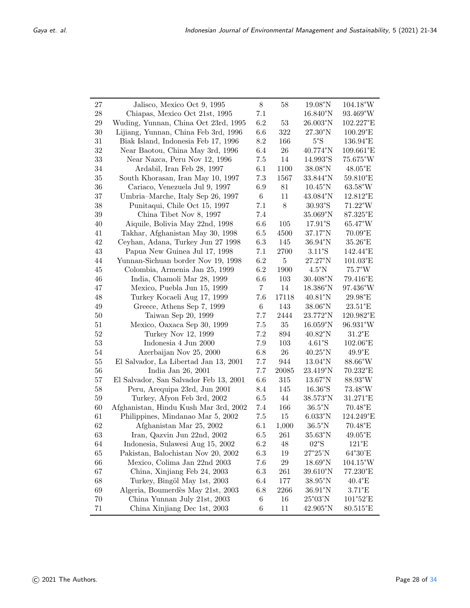| $27\,$      | Jalisco, Mexico Oct 9, 1995            | $8\,$          | 58      | $19.08^{\circ}$ N          | $104.18^{\circ}$ W         |
|-------------|----------------------------------------|----------------|---------|----------------------------|----------------------------|
| $\sqrt{28}$ | Chiapas, Mexico Oct 21st, 1995         | $7.1\,$        |         | $16.840^{\circ}$ N         | 93.469°W                   |
| 29          | Wuding, Yunnan, China Oct 23rd, 1995   | 6.2            | $53\,$  | 26.003°N                   | 102.227°E                  |
| $30\,$      | Lijiang, Yunnan, China Feb 3rd, 1996   | 6.6            | 322     | $27.30^{\circ}$ N          | $100.29^{\circ}E$          |
| $31\,$      | Biak Island, Indonesia Feb 17, 1996    | $8.2\,$        | 166     | $5°\mathrm{S}$             | 136.94°E                   |
| $32\,$      |                                        | $6.4\,$        | $26\,$  | 40.774°N                   | 109.661°E                  |
|             | Near Baotou, China May 3rd, 1996       |                |         |                            |                            |
| $33\,$      | Near Nazca, Peru Nov 12, 1996          | $7.5\,$        | $14\,$  | 14.993°S                   | 75.675°W                   |
| $34\,$      | Ardabil, Iran Feb 28, 1997             | 6.1            | 1100    | $38.08^{\circ} \rm N$      | 48.05°E                    |
| $35\,$      | South Khorasan, Iran May 10, 1997      | $7.3\,$        | 1567    | 33.844°N                   | 59.810°E                   |
| $36\,$      | Cariaco, Venezuela Jul 9, 1997         | 6.9            | $81\,$  | $10.45^{\circ} \rm N$      | $63.58^{\circ}\rm{W}$      |
| $37\,$      | Umbria–Marche, Italy Sep 26, 1997      | $\,6\,$        | 11      | 43.084°N                   | 12.812°E                   |
| $38\,$      | Punitaqui, Chile Oct 15, 1997          | 7.1            | $8\,$   | $30.93^{\circ} \mathrm{S}$ | $71.22^{\circ}$ W          |
| $39\,$      | China Tibet Nov 8, 1997                | 7.4            |         | 35.069°N                   | 87.325°E                   |
| 40          | Aiquile, Bolivia May 22nd, 1998        | 6.6            | 105     | $17.91^{\circ}\!\!.S$      | 65.47°W                    |
| 41          | Takhar, Afghanistan May 30, 1998       | $6.5\,$        | 4500    | $37.17^{\circ}N$           | $70.09$ °E                 |
| $42\,$      | Ceyhan, Adana, Turkey Jun 27 1998      | $6.3\,$        | 145     | 36.94°N                    | $35.26^{\circ} \mathrm{E}$ |
| $43\,$      | Papua New Guinea Jul 17, 1998          | $7.1\,$        | 2700    | $3.11^{\circ}$ S           | 142.44°E                   |
| 44          | Yunnan-Sichuan border Nov 19, 1998     | $6.2\,$        | $\bf 5$ | 27.27°N                    | $101.03^{\circ}E$          |
| 45          | Colombia, Armenia Jan 25, 1999         | 6.2            | 1900    | $4.5^{\circ}N$             | $75.7^{\circ}\rm{W}$       |
| 46          | India, Chamoli Mar 28, 1999            | 6.6            | 103     | $30.408^{\circ} \rm N$     | 79.416°E                   |
| 47          | Mexico, Puebla Jun 15, 1999            | $\overline{7}$ | 14      | 18.386°N                   | 97.436°W                   |
| $48\,$      | Turkey Kocaeli Aug 17, 1999            | 7.6            | 17118   | $40.81^{\circ}$ N          | $29.98^{\circ}$ E          |
| $49\,$      | Greece, Athens Sep 7, 1999             | $\,6\,$        | 143     | $38.06^{\circ} \rm N$      | $23.51^{\circ} \mathrm{E}$ |
| $50\,$      | Taiwan Sep 20, 1999                    | 7.7            | 2444    | 23.772°N                   | 120.982°E                  |
| 51          | Mexico, Oaxaca Sep 30, 1999            | 7.5            | $35\,$  | $16.059$ °N                | 96.931°W                   |
| 52          | Turkey Nov 12, 1999                    | 7.2            | 894     | $40.82^{\circ}$ N          | $31.2^{\circ} \mathrm{E}$  |
| 53          | Indonesia 4 Jun 2000                   | 7.9            | 103     | 4.61°S                     | $102.06$ °E                |
| 54          | Azerbaijan Nov 25, 2000                | 6.8            | $26\,$  | $40.25^{\circ}$ N          | $49.9^{\circ} \mathrm{E}$  |
| 55          | El Salvador, La Libertad Jan 13, 2001  | 7.7            | 944     | $13.04^{\circ}$ N          | $88.66^{\circ}$ W          |
| 56          | India Jan 26, 2001                     | 7.7            | 20085   | 23.419°N                   | 70.232°E                   |
| 57          | El Salvador, San Salvador Feb 13, 2001 | $6.6\,$        | 315     | $13.67^{\circ} \rm N$      | 88.93°W                    |
| 58          | Peru, Arequipa 23rd, Jun 2001          | 8.4            | 145     | 16.36°S                    | 73.48°W                    |
| 59          | Turkey, Afyon Feb 3rd, 2002            | 6.5            | $44\,$  | 38.573°N                   | 31.271°E                   |
| 60          | Afghanistan, Hindu Kush Mar 3rd, 2002  | 7.4            | 166     | $36.5^{\circ}$ N           | 70.48°E                    |
| 61          | Philippines, Mindanao Mar 5, 2002      | 7.5            | 15      | $6.033$ °N                 | 124.249°E                  |
| 62          | Afghanistan Mar 25, 2002               | 6.1            | 1,000   | $36.5^{\circ}$ N           | 70.48°E                    |
| 63          | Iran, Qazvin Jun 22nd, 2002            | $6.5\,$        | 261     | 35.63°N                    | 49.05°E                    |
| 64          | Indonesia, Sulawesi Aug 15, 2002       | 6.2            | 48      | 02°S                       | $121^{\circ} \mathrm{E}$   |
| 65          | Pakistan, Balochistan Nov 20, 2002     | 6.3            | 19      | $27^{\circ}25'N$           | 64°30'E                    |
| 66          | Mexico, Colima Jan 22nd 2003           | 7.6            | $29\,$  | $18.69^{\circ}$ N          | $104.15^{\circ}W$          |
| 67          | China, Xinjiang Feb 24, 2003           | 6.3            | 261     | 39.610°N                   | 77.230°E                   |
| 68          | Turkey, Bingöl May 1st, 2003           | 6.4            | 177     | $38.95^{\circ}$ N          | $40.4^{\circ}E$            |
| 69          | Algeria, Boumerdès May 21st, 2003      | 6.8            | 2266    | $36.91^{\circ} \rm N$      | $3.71^{\circ}E$            |
| 70          | China Yunnan July 21st, 2003           | $\;6\;$        | 16      | $25^{\circ}03'N$           | 101°52'E                   |
| 71          | China Xinjiang Dec 1st, 2003           | 6              | 11      | 42.905°N                   | 80.515°E                   |
|             |                                        |                |         |                            |                            |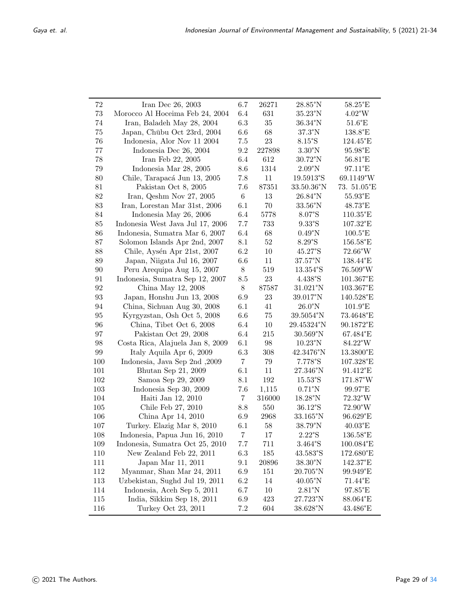| 72      | Iran Dec 26, 2003                | 6.7            | 26271  | 28.85°N                   | 58.25°E                      |
|---------|----------------------------------|----------------|--------|---------------------------|------------------------------|
| $73\,$  | Morocco Al Hoceima Feb 24, 2004  | 6.4            | 631    | $35.23^{\circ}$ N         | $4.02^{\circ}$ W             |
| 74      | Iran, Baladeh May 28, 2004       | $6.3\,$        | 35     | $36.34^{\circ}$ N         | $51.6^{\circ} \mathrm{E}$    |
| $75\,$  | Japan, Chūbu Oct 23rd, 2004      | 6.6            | 68     | $37.3^{\circ}$ N          | 138.8°E                      |
| 76      | Indonesia, Alor Nov 11 2004      | $7.5\,$        | $23\,$ | $8.15^{\circ}$ S          | 124.45°E                     |
| 77      | Indonesia Dec 26, 2004           | 9.2            | 227898 | $3.30^{\circ}$ N          | $95.98^{\circ} \mathrm{E}$   |
| $78\,$  | Iran Feb 22, 2005                | $6.4\,$        | 612    | $30.72^{\circ} \rm N$     | $56.81^{\circ} \mathrm{E}$   |
| $79\,$  | Indonesia Mar 28, 2005           | 8.6            | 1314   | $2.09^{\circ}N$           | $97.11^{\circ} \mathrm{E}$   |
| 80      | Chile, Tarapacá Jun 13, 2005     | 7.8            | 11     | 19.5913°S                 | 69.1149°W                    |
| 81      | Pakistan Oct 8, 2005             | 7.6            | 87351  | 33.50.36°N                | 73. 51.05°E                  |
| 82      | Iran, Qeshm Nov 27, 2005         | $6\,$          | $13\,$ | $26.84^{\circ}\mathrm{N}$ | $55.93^{\circ} \mathrm{E}$   |
| 83      | Iran, Lorestan Mar 31st, 2006    | 6.1            | $70\,$ | 33.56°N                   | 48.73°E                      |
| 84      | Indonesia May 26, 2006           | 6.4            | 5778   | 8.07°S                    | $110.35^{\circ} \mathrm{E}$  |
| 85      | Indonesia West Java Jul 17, 2006 | 7.7            | 733    | $9.33^{\circ}$ S          | 107.32°E                     |
| 86      | Indonesia, Sumatra Mar 6, 2007   | $6.4\,$        | 68     | $0.49^{\circ}$ N          | $100.5^{\circ} \mathrm{E}$   |
| 87      | Solomon Islands Apr 2nd, 2007    | $8.1\,$        | $52\,$ | 8.29°S                    | 156.58°E                     |
| 88      | Chile, Aysén Apr 21st, 2007      | 6.2            | 10     | 45.27°S                   | $72.66^{\circ}$ W            |
| 89      | Japan, Niigata Jul 16, 2007      | 6.6            | 11     | $37.57^{\circ} \rm N$     | 138.44°E                     |
| 90      | Peru Arequipa Aug 15, 2007       | $8\,$          | 519    | 13.354°S                  | $76.509^{\circ}$ W           |
| 91      | Indonesia, Sumatra Sep 12, 2007  | 8.5            | $23\,$ | 4.438°S                   | 101.367°E                    |
| 92      | China May 12, 2008               | $8\,$          | 87587  | $31.021$ °N               | 103.367°E                    |
| 93      | Japan, Honshu Jun 13, 2008       | 6.9            | 23     | 39.017°N                  | 140.528°E                    |
| 94      | China, Sichuan Aug 30, 2008      | 6.1            | 41     | $26.0^{\circ}$ N          | $101.9^{\circ} \mathrm{E}$   |
| 95      | Kyrgyzstan, Osh Oct 5, 2008      | 6.6            | $75\,$ | 39.5054°N                 | 73.4648°E                    |
| 96      | China, Tibet Oct 6, 2008         | 6.4            | $10\,$ | 29.45324°N                | $90.1872^{\circ} \mathrm{E}$ |
| 97      | Pakistan Oct 29, 2008            | 6.4            | 215    | $30.569^{\circ}$ N        | 67.484°E                     |
| 98      | Costa Rica, Alajuela Jan 8, 2009 | 6.1            | 98     | $10.23^{\circ} \rm N$     | 84.22°W                      |
| $99\,$  | Italy Aquila Apr 6, 2009         | 6.3            | 308    | 42.3476°N                 | $13.3800^{\circ} \mathrm{E}$ |
| 100     | Indonesia, Java Sep 2nd, 2009    | $\overline{7}$ | $79\,$ | 7.778°S                   | 107.328°E                    |
| 101     | Bhutan Sep 21, 2009              | 6.1            | 11     | 27.346°N                  | 91.412°E                     |
| 102     | Samoa Sep 29, 2009               | $8.1\,$        | 192    | $15.53^{\circ}\mathrm{S}$ | 171.87°W                     |
| 103     | Indonesia Sep 30, 2009           | 7.6            | 1,115  | $0.71^{\circ}$ N          | $99.97^{\circ}\mathrm{E}$    |
| 104     | Haiti Jan 12, 2010               | $\overline{7}$ | 316000 | $18.28^{\circ}$ N         | $72.32^{\circ}\rm{W}$        |
| 105     | Chile Feb 27, 2010               | 8.8            | 550    | 36.12°S                   | $72.90^\circ\rm{W}$          |
| 106     | China Apr 14, 2010               | 6.9            | 2968   | 33.165°N                  | 96.629°E                     |
| 107     | Turkey. Elazig Mar 8, 2010       | 6.1            | 58     | 38.79°N                   | $40.03^{\circ}$ E            |
| 108     | Indonesia, Papua Jun 16, 2010    | $\overline{7}$ | 17     | $2.22^{\circ}$ S          | 136.58°E                     |
| $109\,$ | Indonesia, Sumatra Oct 25, 2010  | 7.7            | 711    | 3.464°S                   | 100.084°E                    |
| 110     | New Zealand Feb 22, 2011         | 6.3            | 185    | 43.583°S                  | 172.680°E                    |
| 111     | Japan Mar 11, 2011               | 9.1            | 20896  | $38.30^{\circ}$ N         | $142.37^{\circ} \mathrm{E}$  |
| 112     | Myanmar, Shan Mar 24, 2011       | 6.9            | 151    | 20.705°N                  | 99.949°E                     |
| 113     | Uzbekistan, Sughd Jul 19, 2011   | 6.2            | 14     | $40.05^{\circ}$ N         | 71.44°E                      |
| 114     | Indonesia, Aceh Sep 5, 2011      | 6.7            | 10     | $2.81^{\circ}$ N          | 97.85°E                      |
| 115     | India, Sikkim Sep 18, 2011       | 6.9            | 423    | 27.723°N                  | 88.064°E                     |
| 116     | Turkey Oct 23, 2011              | $7.2\,$        | 604    | 38.628°N                  | 43.486°E                     |
|         |                                  |                |        |                           |                              |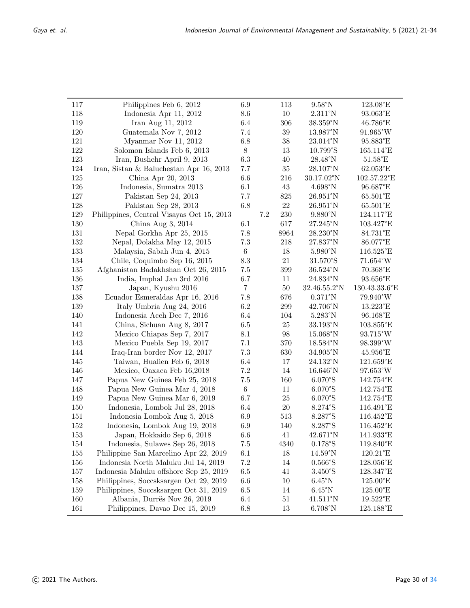| 117 | Philippines Feb 6, 2012                   | 6.9            |         | 113     | $9.58^{\circ}$ N           | 123.08°E                     |
|-----|-------------------------------------------|----------------|---------|---------|----------------------------|------------------------------|
| 118 | Indonesia Apr 11, 2012                    | 8.6            |         | $10\,$  | $2.311^{\circ}N$           | $93.063^{\circ}\rm{E}$       |
| 119 | Iran Aug 11, 2012                         | $6.4\,$        |         | 306     | 38.359°N                   | $46.786^{\circ} \mathrm{E}$  |
| 120 | Guatemala Nov 7, 2012                     | 7.4            |         | $39\,$  | 13.987°N                   | 91.965°W                     |
| 121 | Myanmar Nov 11, 2012                      | 6.8            |         | $38\,$  | 23.014°N                   | 95.883°E                     |
| 122 | Solomon Islands Feb 6, 2013               | $8\,$          |         | $13\,$  | 10.799°S                   | $165.114$ °E                 |
| 123 | Iran, Bushehr April 9, 2013               | $6.3\,$        |         | $40\,$  | $28.48^{\circ}\mathrm{N}$  | 51.58°E                      |
| 124 | Iran, Sistan & Baluchestan Apr 16, 2013   | 7.7            |         | $35\,$  | $28.107^\circ\rm{N}$       | $62.053^{\circ}\rm{E}$       |
| 125 | China Apr 20, 2013                        | 6.6            |         | 216     | 30.17.02°N                 | 102.57.22°E                  |
| 126 | Indonesia, Sumatra 2013                   | 6.1            |         | $43\,$  | $4.698^{\circ}$ N          | 96.687°E                     |
| 127 | Pakistan Sep 24, 2013                     | 7.7            |         | 825     | $26.951$ °N                | 65.501°E                     |
| 128 | Pakistan Sep 28, 2013                     | 6.8            |         | 22      | $26.951$ °N                | 65.501°E                     |
| 129 | Philippines, Central Visayas Oct 15, 2013 |                | $7.2\,$ | $230\,$ | $9.880^{\circ}$ N          | 124.117°E                    |
| 130 | China Aug 3, 2014                         | 6.1            |         | 617     | 27.245°N                   | $103.427^{\circ}\mathrm{E}$  |
| 131 | Nepal Gorkha Apr 25, 2015                 | 7.8            |         | 8964    | 28.230°N                   | 84.731°E                     |
| 132 | Nepal, Dolakha May 12, 2015               | $7.3\,$        |         | $218\,$ | 27.837°N                   | 86.077°E                     |
| 133 | Malaysia, Sabah Jun 4, 2015               | $\,6\,$        |         | $18\,$  | $5.980^{\circ}$ N          | 116.525°E                    |
| 134 | Chile, Coquimbo Sep 16, 2015              | 8.3            |         | $21\,$  | 31.570°S                   | $71.654^{\circ}W$            |
| 135 | Afghanistan Badakhshan Oct 26, 2015       | $7.5\,$        |         | 399     | 36.524°N                   | 70.368°E                     |
| 136 | India, Imphal Jan 3rd 2016                | 6.7            |         | $11\,$  | 24.834°N                   | 93.656°E                     |
| 137 | Japan, Kyushu 2016                        | $\overline{7}$ |         | $50\,$  | 32.46.55.2°N               | 130.43.33.6°E                |
| 138 | Ecuador Esmeraldas Apr 16, 2016           | 7.8            |         | 676     | $0.371$ °N                 | $79.940^\circ\rm{W}$         |
| 139 | Italy Umbria Aug 24, 2016                 | 6.2            |         | 299     | 42.706°N                   | 13.223°E                     |
| 140 | Indonesia Aceh Dec 7, 2016                | 6.4            |         | 104     | $5.283^{\circ}$ N          | $96.168^{\circ}\mathrm{E}$   |
| 141 | China, Sichuan Aug 8, 2017                | 6.5            |         | 25      | 33.193°N                   | 103.855°E                    |
| 142 | Mexico Chiapas Sep 7, 2017                | 8.1            |         | $98\,$  | 15.068°N                   | $93.715^\circ\rm{W}$         |
| 143 | Mexico Puebla Sep 19, 2017                | 7.1            |         | 370     | 18.584°N                   | 98.399°W                     |
| 144 | Iraq-Iran border Nov 12, 2017             | $7.3\,$        |         | 630     | 34.905°N                   | 45.956°E                     |
| 145 | Taiwan, Hualien Feb 6, 2018               | $6.4\,$        |         | 17      | $24.132^{\circ}\mathrm{N}$ | 121.659°E                    |
| 146 | Mexico, Oaxaca Feb 16,2018                | $7.2\,$        |         | 14      | 16.646°N                   | 97.653°W                     |
| 147 | Papua New Guinea Feb 25, 2018             | $7.5\,$        |         | 160     | 6.070°S                    | 142.754°E                    |
| 148 | Papua New Guinea Mar 4, 2018              | $\,6\,$        |         | 11      | 6.070°S                    | 142.754°E                    |
| 149 | Papua New Guinea Mar 6, 2019              | 6.7            |         | $25\,$  | 6.070°S                    | 142.754°E                    |
| 150 | Indonesia, Lombok Jul 28, 2018            | 6.4            |         | 20      | 8.274°S                    | 116.491°E                    |
| 151 | Indonesia Lombok Aug 5, 2018              | 6.9            |         | 513     | 8.287°S                    | 116.452°E                    |
| 152 | Indonesia, Lombok Aug 19, 2018            | 6.9            |         | 140     | 8.287°S                    | 116.452°E                    |
| 153 | Japan, Hokkaido Sep 6, 2018               | 6.6            |         | 41      | 42.671°N                   | 141.933°E                    |
| 154 | Indonesia, Sulawes Sep 26, 2018           | 7.5            |         | 4340    | $0.178^{\circ}\mathrm{S}$  | $119.840^{\circ} \mathrm{E}$ |
| 155 | Philippine San Marcelino Apr 22, 2019     | 6.1            |         | 18      | $14.59^{\circ}$ N          | $120.21$ °E                  |
| 156 | Indonesia North Maluku Jul 14, 2019       | $7.2\,$        |         | 14      | 0.566°S                    | 128.056°E                    |
| 157 | Indonesia Maluku offshore Sep 25, 2019    | 6.5            |         | 41      | 3.450°S                    | 128.347°E                    |
| 158 | Philippines, Soccsksargen Oct 29, 2019    | 6.6            |         | 10      | $6.45^{\circ}$ N           | $125.00$ °E                  |
| 159 | Philippines, Soccsksargen Oct 31, 2019    | $6.5\,$        |         | 14      | $6.45^{\circ}$ N           | $125.00$ °E                  |
| 160 | Albania, Durrës Nov 26, 2019              | 6.4            |         | 51      | $41.511^{\circ}N$          | 19.522°E                     |
| 161 | Philippines, Davao Dec 15, 2019           | 6.8            |         | 13      | $6.708^{\circ}$ N          | 125.188°E                    |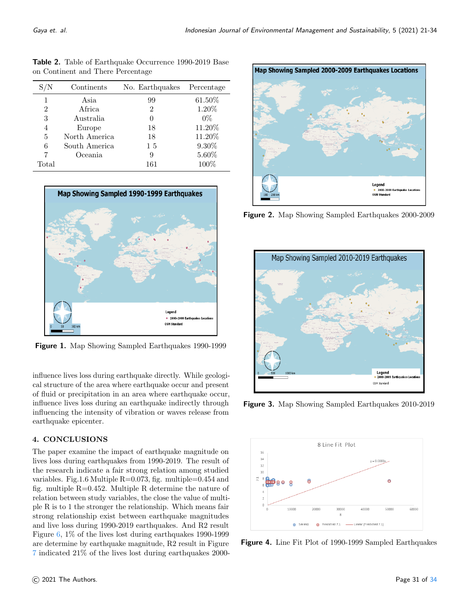| on Continent and There Percentage |               |                 |            |  |  |  |  |  |
|-----------------------------------|---------------|-----------------|------------|--|--|--|--|--|
| $\mathrm{S/N}$                    | Continents    | No. Earthquakes | Percentage |  |  |  |  |  |
| 1                                 | Asia          | 99              | 61.50%     |  |  |  |  |  |
| 2                                 | Africa        | 2               | 1.20%      |  |  |  |  |  |
| 3                                 | Australia     | 0               | $0\%$      |  |  |  |  |  |
| 4                                 | Europe        | 18              | 11.20%     |  |  |  |  |  |
| 5                                 | North America | 18              | 11.20%     |  |  |  |  |  |
| 6                                 | South America | 15              | $9.30\%$   |  |  |  |  |  |
| 7                                 | Oceania       | 9               | 5.60%      |  |  |  |  |  |
| Total                             |               | 161             | $100\%$    |  |  |  |  |  |

Table 2. Table of Earthquake Occurrence 1990-2019 Base on Continent and There Percentage

<span id="page-10-2"></span>

Figure 1. Map Showing Sampled Earthquakes 1990-1999

influence lives loss during earthquake directly. While geological structure of the area where earthquake occur and present of fluid or precipitation in an area where earthquake occur, influence lives loss during an earthquake indirectly through influencing the intensity of vibration or waves release from earthquake epicenter.

## 4. CONCLUSIONS

The paper examine the impact of earthquake magnitude on lives loss during earthquakes from 1990-2019. The result of the research indicate a fair strong relation among studied variables. Fig.1.6 Multiple  $R=0.073$ , fig. multiple=0.454 and fig. multiple  $R=0.452$ . Multiple R determine the nature of relation between study variables, the close the value of multiple R is to 1 the stronger the relationship. Which means fair strong relationship exist between earthquake magnitudes and live loss during 1990-2019 earthquakes. And R2 result Figure [6,](#page-12-1) 1% of the lives lost during earthquakes 1990-1999 are determine by earthquake magnitude, R2 result in Figure [7](#page-12-2) indicated 21% of the lives lost during earthquakes 2000-

<span id="page-10-3"></span>

Figure 2. Map Showing Sampled Earthquakes 2000-2009

<span id="page-10-0"></span>

Figure 3. Map Showing Sampled Earthquakes 2010-2019

<span id="page-10-1"></span>

**Figure 4.** Line Fit Plot of 1990-1999 Sampled Earthquakes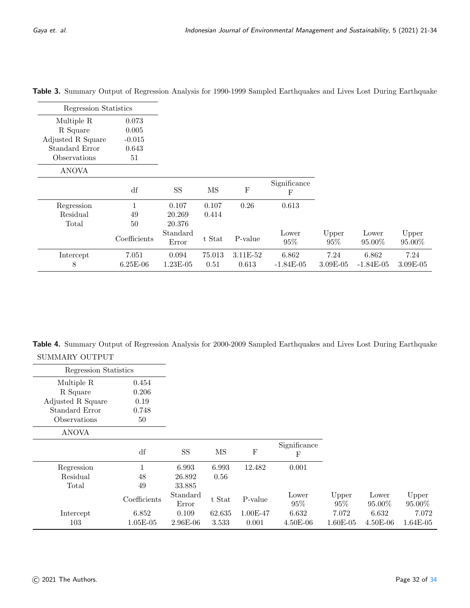| Regression Statistics |              |                   |        |             |                   |              |                 |                 |
|-----------------------|--------------|-------------------|--------|-------------|-------------------|--------------|-----------------|-----------------|
| Multiple R            | 0.073        |                   |        |             |                   |              |                 |                 |
| R Square              | 0.005        |                   |        |             |                   |              |                 |                 |
| Adjusted R Square     | $-0.015$     |                   |        |             |                   |              |                 |                 |
| Standard Error        | 0.643        |                   |        |             |                   |              |                 |                 |
| Observations          | 51           |                   |        |             |                   |              |                 |                 |
| <b>ANOVA</b>          |              |                   |        |             |                   |              |                 |                 |
|                       | df           | <b>SS</b>         | MS     | $\mathbf F$ | Significance<br>F |              |                 |                 |
| Regression            |              | 0.107             | 0.107  | 0.26        | 0.613             |              |                 |                 |
| Residual              | 49           | 20.269            | 0.414  |             |                   |              |                 |                 |
| Total                 | 50           | 20.376            |        |             |                   |              |                 |                 |
|                       | Coefficients | Standard<br>Error | t Stat | P-value     | Lower<br>95%      | Upper<br>95% | Lower<br>95.00% | Upper<br>95.00% |
| Intercept             | 7.051        | 0.094             | 75.013 | 3.11E-52    | 6.862             | 7.24         | 6.862           | 7.24            |
| 8                     | $6.25E-06$   | $1.23E-05$        | 0.51   | 0.613       | $-1.84E-05$       | $3.09E-05$   | $-1.84E-05$     | $3.09E-05$      |

Table 3. Summary Output of Regression Analysis for 1990-1999 Sampled Earthquakes and Lives Lost During Earthquake

Table 4. Summary Output of Regression Analysis for 2000-2009 Sampled Earthquakes and Lives Lost During Earthquake SUMMARY OUTPUT

| Regression Statistics |              |                   |        |           |                   |                 |                 |                 |
|-----------------------|--------------|-------------------|--------|-----------|-------------------|-----------------|-----------------|-----------------|
| Multiple R            | 0.454        |                   |        |           |                   |                 |                 |                 |
| R Square              | 0.206        |                   |        |           |                   |                 |                 |                 |
| Adjusted R Square     | 0.19         |                   |        |           |                   |                 |                 |                 |
| Standard Error        | 0.748        |                   |        |           |                   |                 |                 |                 |
| Observations          | 50           |                   |        |           |                   |                 |                 |                 |
| <b>ANOVA</b>          |              |                   |        |           |                   |                 |                 |                 |
|                       | df           | <b>SS</b>         | MS     | ${\bf F}$ | Significance<br>F |                 |                 |                 |
| Regression            | $\mathbf{1}$ | 6.993             | 6.993  | 12.482    | 0.001             |                 |                 |                 |
| Residual              | 48           | 26.892            | 0.56   |           |                   |                 |                 |                 |
| Total                 | 49           | 33.885            |        |           |                   |                 |                 |                 |
|                       | Coefficients | Standard<br>Error | t Stat | P-value   | Lower<br>95%      | Upper<br>$95\%$ | Lower<br>95.00% | Upper<br>95.00% |
| Intercept             | 6.852        | 0.109             | 62.635 | 1.00E-47  | 6.632             | 7.072           | 6.632           | 7.072           |
| 103                   | $1.05E-05$   | 2.96E-06          | 3.533  | 0.001     | $4.50E-06$        | $1.60E-05$      | $4.50E-06$      | $1.64E-05$      |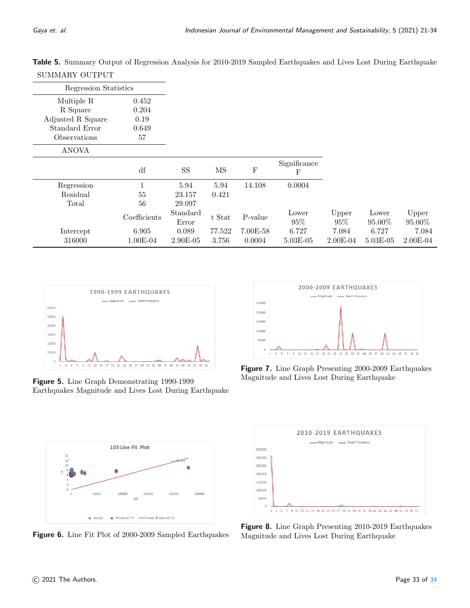| Regression Statistics |              |                   |        |             |                   |                 |                 |                 |
|-----------------------|--------------|-------------------|--------|-------------|-------------------|-----------------|-----------------|-----------------|
| Multiple R            | 0.452        |                   |        |             |                   |                 |                 |                 |
| R Square              | 0.204        |                   |        |             |                   |                 |                 |                 |
| Adjusted R Square     | 0.19         |                   |        |             |                   |                 |                 |                 |
| Standard Error        | 0.649        |                   |        |             |                   |                 |                 |                 |
| Observations          | 57           |                   |        |             |                   |                 |                 |                 |
| <b>ANOVA</b>          |              |                   |        |             |                   |                 |                 |                 |
|                       | df           | <b>SS</b>         | MS     | $\mathbf F$ | Significance<br>F |                 |                 |                 |
| Regression            | $\mathbf{1}$ | 5.94              | 5.94   | 14.108      | 0.0004            |                 |                 |                 |
| Residual              | 55           | 23.157            | 0.421  |             |                   |                 |                 |                 |
| Total                 | 56           | 29.097            |        |             |                   |                 |                 |                 |
|                       | Coefficients | Standard<br>Error | t Stat | P-value     | Lower<br>95%      | Upper<br>$95\%$ | Lower<br>95.00% | Upper<br>95.00% |
| Intercept             | 6.905        | 0.089             | 77.522 | 7.00E-58    | 6.727             | 7.084           | 6.727           | 7.084           |
| 316000                | $1.00E-04$   | $2.90E-05$        | 3.756  | 0.0004      | $5.03E - 05$      | $2.00E-04$      | $5.03E-05$      | $2.00E-04$      |

Table 5. Summary Output of Regression Analysis for 2010-2019 Sampled Earthquakes and Lives Lost During Earthquake SUMMARY OUTPUT

<span id="page-12-0"></span>

Figure 5. Line Graph Demonstrating 1990-1999 Earthquakes Magnitude and Lives Lost During Earthquake

<span id="page-12-1"></span>

**Figure 6.** Line Fit Plot of 2000-2009 Sampled Earthquakes

<span id="page-12-2"></span>

Figure 7. Line Graph Presenting 2000-2009 Earthquakes Magnitude and Lives Lost During Earthquake

<span id="page-12-3"></span>

Figure 8. Line Graph Presenting 2010-2019 Earthquakes Magnitude and Lives Lost During Earthquake